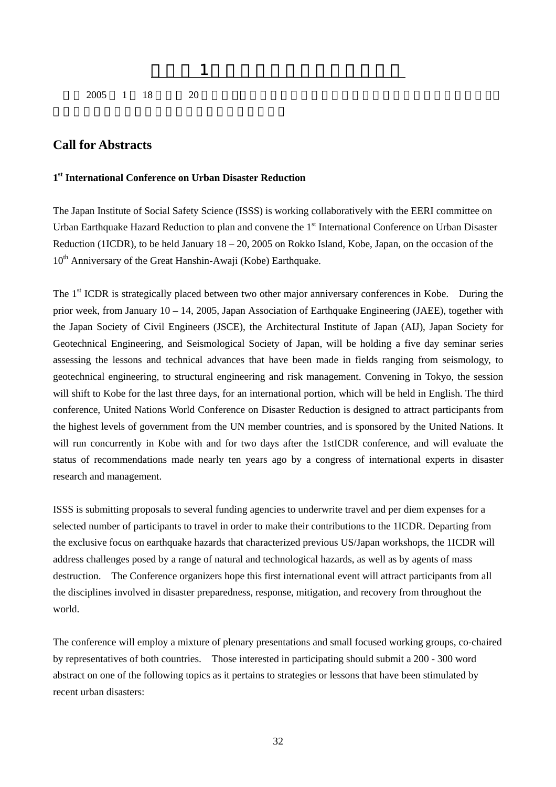

## **Call for Abstracts**

## **1st International Conference on Urban Disaster Reduction**

The Japan Institute of Social Safety Science (ISSS) is working collaboratively with the EERI committee on Urban Earthquake Hazard Reduction to plan and convene the 1<sup>st</sup> International Conference on Urban Disaster Reduction (1ICDR), to be held January  $18 - 20$ , 2005 on Rokko Island, Kobe, Japan, on the occasion of the  $10<sup>th</sup>$  Anniversary of the Great Hanshin-Awaji (Kobe) Earthquake.

 $\mathbf 6.6$ .  $\mathbf 7.6$ 

The 1<sup>st</sup> ICDR is strategically placed between two other major anniversary conferences in Kobe. During the prior week, from January 10 – 14, 2005, Japan Association of Earthquake Engineering (JAEE), together with the Japan Society of Civil Engineers (JSCE), the Architectural Institute of Japan (AIJ), Japan Society for Geotechnical Engineering, and Seismological Society of Japan, will be holding a five day seminar series assessing the lessons and technical advances that have been made in fields ranging from seismology, to geotechnical engineering, to structural engineering and risk management. Convening in Tokyo, the session will shift to Kobe for the last three days, for an international portion, which will be held in English. The third conference, United Nations World Conference on Disaster Reduction is designed to attract participants from the highest levels of government from the UN member countries, and is sponsored by the United Nations. It will run concurrently in Kobe with and for two days after the 1stICDR conference, and will evaluate the status of recommendations made nearly ten years ago by a congress of international experts in disaster research and management.

ISSS is submitting proposals to several funding agencies to underwrite travel and per diem expenses for a selected number of participants to travel in order to make their contributions to the 1ICDR. Departing from the exclusive focus on earthquake hazards that characterized previous US/Japan workshops, the 1ICDR will address challenges posed by a range of natural and technological hazards, as well as by agents of mass destruction. The Conference organizers hope this first international event will attract participants from all the disciplines involved in disaster preparedness, response, mitigation, and recovery from throughout the world.

The conference will employ a mixture of plenary presentations and small focused working groups, co-chaired by representatives of both countries. Those interested in participating should submit a 200 - 300 word abstract on one of the following topics as it pertains to strategies or lessons that have been stimulated by recent urban disasters: